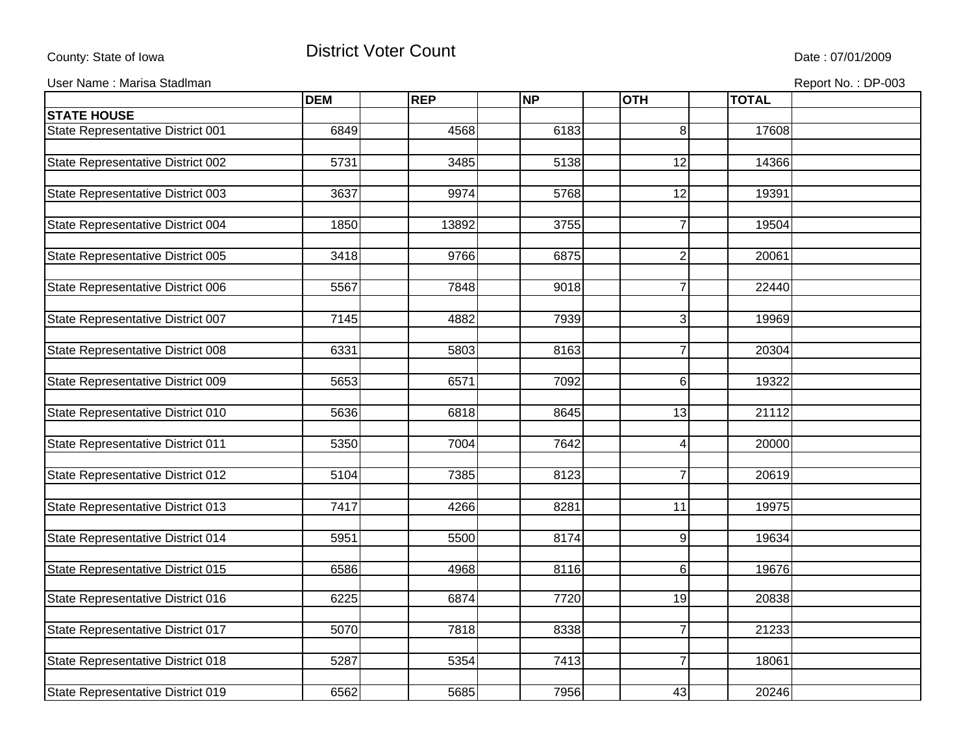## County: State of Iowa **District Voter Count** Description of the United State : 07/01/2009

User Name : Marisa Stadlman **Report No. : DP-003** Contract to the extent of the extent of the extent of the extent of the extent of the extent of the extent of the extent of the extent of the extent of the extent of the ex

|                                          | <b>DEM</b> | <b>REP</b> | <b>NP</b> | <b>OTH</b>       | <b>TOTAL</b> |  |
|------------------------------------------|------------|------------|-----------|------------------|--------------|--|
| <b>STATE HOUSE</b>                       |            |            |           |                  |              |  |
| State Representative District 001        | 6849       | 4568       | 6183      | 8                | 17608        |  |
|                                          |            |            |           |                  |              |  |
| State Representative District 002        | 5731       | 3485       | 5138      | 12               | 14366        |  |
|                                          |            |            |           |                  |              |  |
| State Representative District 003        | 3637       | 9974       | 5768      | 12               | 19391        |  |
|                                          |            |            |           |                  |              |  |
| State Representative District 004        | 1850       | 13892      | 3755      | 7                | 19504        |  |
|                                          |            |            |           |                  |              |  |
| State Representative District 005        | 3418       | 9766       | 6875      | $\overline{2}$   | 20061        |  |
|                                          |            |            |           |                  |              |  |
| State Representative District 006        | 5567       | 7848       | 9018      | $\overline{7}$   | 22440        |  |
|                                          |            |            |           |                  |              |  |
| State Representative District 007        | 7145       | 4882       | 7939      | 3                | 19969        |  |
|                                          |            |            |           |                  |              |  |
| State Representative District 008        | 6331       | 5803       | 8163      | $\overline{7}$   | 20304        |  |
|                                          |            |            |           |                  |              |  |
| State Representative District 009        | 5653       | 6571       | 7092      | 6                | 19322        |  |
|                                          |            |            |           |                  |              |  |
| State Representative District 010        | 5636       | 6818       | 8645      | 13               | 21112        |  |
|                                          |            |            |           |                  |              |  |
| State Representative District 011        | 5350       | 7004       | 7642      | $\boldsymbol{4}$ | 20000        |  |
|                                          |            |            |           |                  |              |  |
| State Representative District 012        | 5104       | 7385       | 8123      | $\overline{7}$   | 20619        |  |
|                                          |            |            |           |                  |              |  |
| State Representative District 013        | 7417       | 4266       | 8281      | 11               | 19975        |  |
|                                          |            |            |           |                  |              |  |
| State Representative District 014        | 5951       | 5500       | 8174      | 9                | 19634        |  |
|                                          |            |            |           |                  |              |  |
| <b>State Representative District 015</b> | 6586       | 4968       | 8116      | 6                | 19676        |  |
| State Representative District 016        | 6225       | 6874       | 7720      | 19               | 20838        |  |
|                                          |            |            |           |                  |              |  |
| State Representative District 017        | 5070       | 7818       | 8338      | $\overline{7}$   | 21233        |  |
|                                          |            |            |           |                  |              |  |
| State Representative District 018        | 5287       | 5354       | 7413      | $\overline{7}$   | 18061        |  |
|                                          |            |            |           |                  |              |  |
| State Representative District 019        | 6562       | 5685       | 7956      | 43               | 20246        |  |
|                                          |            |            |           |                  |              |  |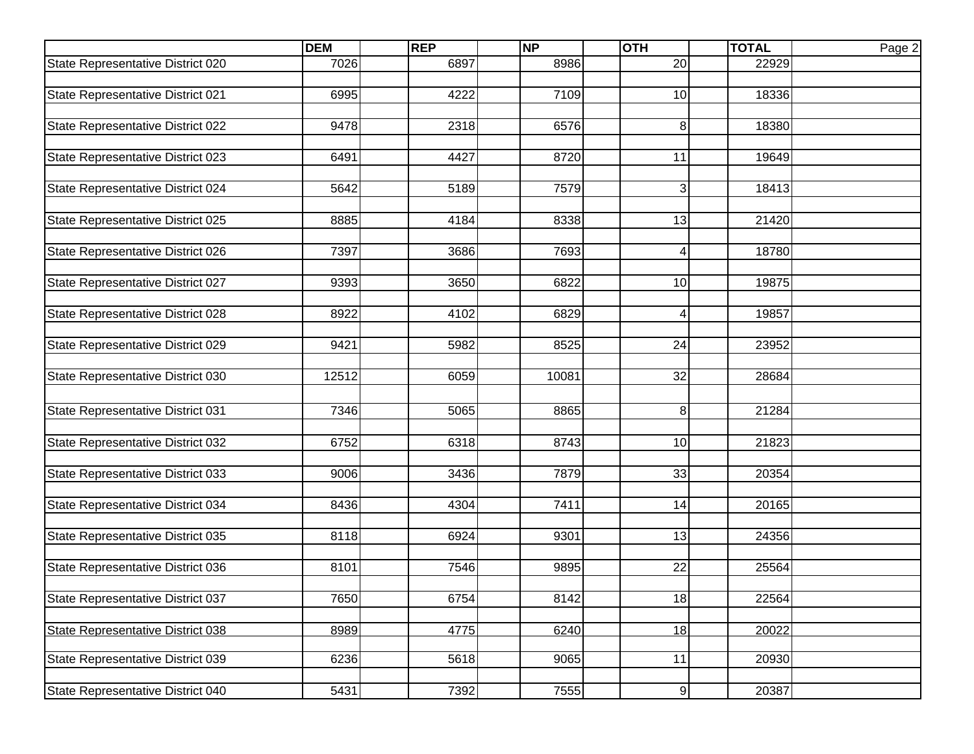|                                   | <b>DEM</b> | <b>REP</b> | <b>NP</b> | <b>OTH</b>              | <b>TOTAL</b> | Page 2 |
|-----------------------------------|------------|------------|-----------|-------------------------|--------------|--------|
| State Representative District 020 | 7026       | 6897       | 8986      | 20                      | 22929        |        |
|                                   |            |            |           |                         |              |        |
| State Representative District 021 | 6995       | 4222       | 7109      | 10                      | 18336        |        |
|                                   |            |            |           |                         |              |        |
| State Representative District 022 | 9478       | 2318       | 6576      | 8                       | 18380        |        |
|                                   |            |            |           |                         |              |        |
| State Representative District 023 | 6491       | 4427       | 8720      | 11                      | 19649        |        |
|                                   |            |            |           |                         |              |        |
| State Representative District 024 | 5642       | 5189       | 7579      | 3                       | 18413        |        |
|                                   |            |            |           |                         |              |        |
| State Representative District 025 | 8885       | 4184       | 8338      | 13                      | 21420        |        |
|                                   |            |            |           |                         |              |        |
| State Representative District 026 | 7397       | 3686       | 7693      | $\overline{\mathbf{4}}$ | 18780        |        |
|                                   |            |            |           |                         |              |        |
| State Representative District 027 | 9393       | 3650       | 6822      | 10                      | 19875        |        |
|                                   |            |            |           |                         |              |        |
| State Representative District 028 | 8922       | 4102       | 6829      | 4                       | 19857        |        |
|                                   |            |            |           |                         |              |        |
| State Representative District 029 | 9421       | 5982       | 8525      | 24                      | 23952        |        |
| State Representative District 030 | 12512      | 6059       | 10081     | 32                      | 28684        |        |
|                                   |            |            |           |                         |              |        |
|                                   |            |            |           |                         |              |        |
| State Representative District 031 | 7346       | 5065       | 8865      | 8                       | 21284        |        |
|                                   | 6752       | 6318       | 8743      | 10                      |              |        |
| State Representative District 032 |            |            |           |                         | 21823        |        |
| State Representative District 033 | 9006       | 3436       | 7879      | 33                      | 20354        |        |
|                                   |            |            |           |                         |              |        |
| State Representative District 034 | 8436       | 4304       | 7411      | $\overline{14}$         | 20165        |        |
|                                   |            |            |           |                         |              |        |
| State Representative District 035 | 8118       | 6924       | 9301      | 13                      | 24356        |        |
|                                   |            |            |           |                         |              |        |
| State Representative District 036 | 8101       | 7546       | 9895      | 22                      | 25564        |        |
|                                   |            |            |           |                         |              |        |
| State Representative District 037 | 7650       | 6754       | 8142      | 18                      | 22564        |        |
|                                   |            |            |           |                         |              |        |
| State Representative District 038 | 8989       | 4775       | 6240      | 18                      | 20022        |        |
|                                   |            |            |           |                         |              |        |
| State Representative District 039 | 6236       | 5618       | 9065      | $\overline{11}$         | 20930        |        |
|                                   |            |            |           |                         |              |        |
| State Representative District 040 | 5431       | 7392       | 7555      | $\boldsymbol{9}$        | 20387        |        |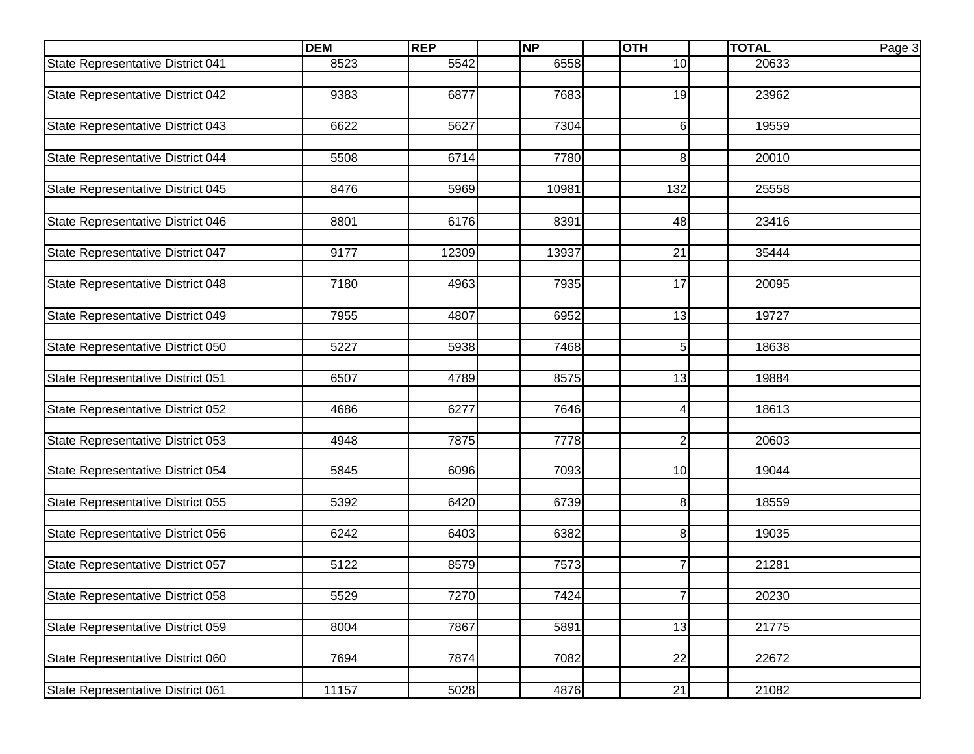|                                   | <b>DEM</b> | <b>REP</b> | <b>NP</b> | <b>OTH</b>       | <b>TOTAL</b> | Page 3 |
|-----------------------------------|------------|------------|-----------|------------------|--------------|--------|
| State Representative District 041 | 8523       | 5542       | 6558      | 10               | 20633        |        |
|                                   |            |            |           |                  |              |        |
| State Representative District 042 | 9383       | 6877       | 7683      | 19               | 23962        |        |
|                                   |            |            |           |                  |              |        |
| State Representative District 043 | 6622       | 5627       | 7304      | $\,6$            | 19559        |        |
| State Representative District 044 | 5508       | 6714       | 7780      | 8                | 20010        |        |
|                                   |            |            |           |                  |              |        |
| State Representative District 045 | 8476       | 5969       | 10981     | 132              | 25558        |        |
|                                   |            |            |           |                  |              |        |
| State Representative District 046 | 8801       | 6176       | 8391      | 48               | 23416        |        |
|                                   |            |            |           |                  |              |        |
| State Representative District 047 | 9177       | 12309      | 13937     | 21               | 35444        |        |
|                                   |            |            |           |                  |              |        |
| State Representative District 048 | 7180       | 4963       | 7935      | 17               | 20095        |        |
|                                   |            |            |           |                  |              |        |
| State Representative District 049 | 7955       | 4807       | 6952      | 13               | 19727        |        |
|                                   |            |            |           |                  |              |        |
| State Representative District 050 | 5227       | 5938       | 7468      | 5                | 18638        |        |
| State Representative District 051 | 6507       | 4789       | 8575      | 13               | 19884        |        |
|                                   |            |            |           |                  |              |        |
| State Representative District 052 | 4686       | 6277       | 7646      | 4                | 18613        |        |
|                                   |            |            |           |                  |              |        |
| State Representative District 053 | 4948       | 7875       | 7778      | $\boldsymbol{2}$ | 20603        |        |
|                                   |            |            |           |                  |              |        |
| State Representative District 054 | 5845       | 6096       | 7093      | 10               | 19044        |        |
|                                   |            |            |           |                  |              |        |
| State Representative District 055 | 5392       | 6420       | 6739      | 8                | 18559        |        |
| State Representative District 056 | 6242       | 6403       | 6382      | 8                | 19035        |        |
|                                   |            |            |           |                  |              |        |
| State Representative District 057 | 5122       | 8579       | 7573      | $\overline{7}$   | 21281        |        |
|                                   |            |            |           |                  |              |        |
| State Representative District 058 | 5529       | 7270       | 7424      | 7                | 20230        |        |
|                                   |            |            |           |                  |              |        |
| State Representative District 059 | 8004       | 7867       | 5891      | 13               | 21775        |        |
|                                   |            |            |           |                  |              |        |
| State Representative District 060 | 7694       | 7874       | 7082      | $\overline{22}$  | 22672        |        |
|                                   |            |            |           |                  |              |        |
| State Representative District 061 | 11157      | 5028       | 4876      | $\overline{21}$  | 21082        |        |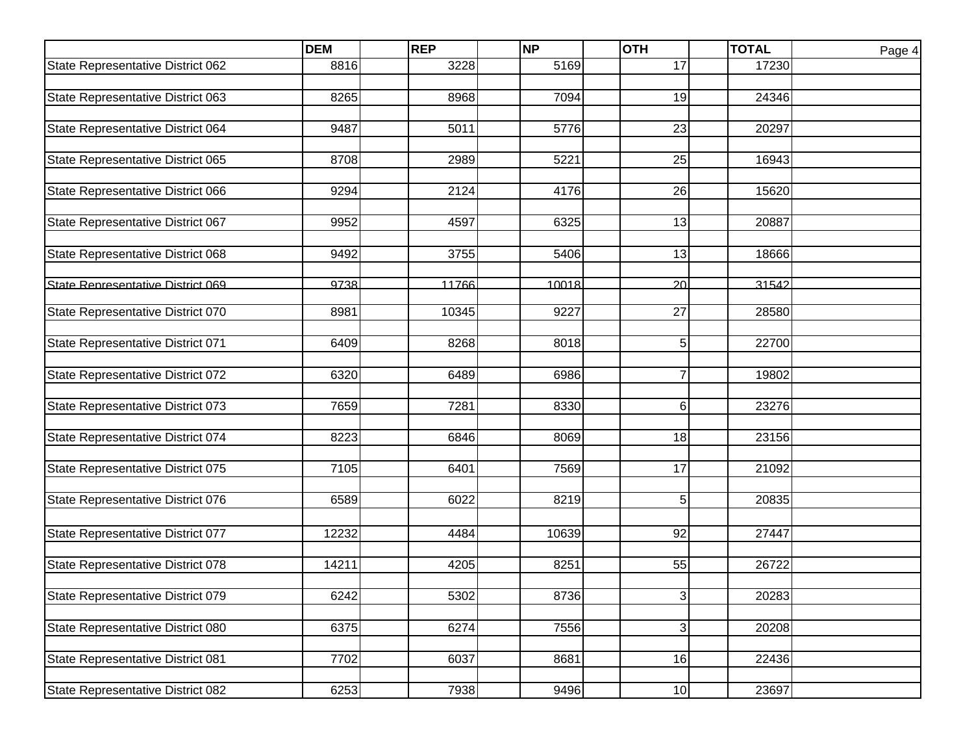|                                   | <b>DEM</b> | <b>REP</b> | <b>NP</b> | <b>OTH</b>     | <b>TOTAL</b> | Page 4 |
|-----------------------------------|------------|------------|-----------|----------------|--------------|--------|
| State Representative District 062 | 8816       | 3228       | 5169      | 17             | 17230        |        |
|                                   |            |            |           |                |              |        |
| State Representative District 063 | 8265       | 8968       | 7094      | 19             | 24346        |        |
|                                   |            |            |           |                |              |        |
| State Representative District 064 | 9487       | 5011       | 5776      | 23             | 20297        |        |
| State Representative District 065 | 8708       | 2989       | 5221      | 25             | 16943        |        |
|                                   |            |            |           |                |              |        |
| State Representative District 066 | 9294       | 2124       | 4176      | 26             | 15620        |        |
|                                   |            |            |           |                |              |        |
| State Representative District 067 | 9952       | 4597       | 6325      | 13             | 20887        |        |
|                                   |            |            |           |                |              |        |
| State Representative District 068 | 9492       | 3755       | 5406      | 13             | 18666        |        |
|                                   |            |            |           |                |              |        |
| State Representative District 069 | 9738       | 11766      | 10018     | 20             | 31542        |        |
| State Representative District 070 | 8981       | 10345      | 9227      | 27             | 28580        |        |
|                                   |            |            |           |                |              |        |
| State Representative District 071 | 6409       | 8268       | 8018      | 5              | 22700        |        |
|                                   |            |            |           |                |              |        |
| State Representative District 072 | 6320       | 6489       | 6986      | $\overline{7}$ | 19802        |        |
| State Representative District 073 | 7659       | 7281       | 8330      | 6              | 23276        |        |
|                                   |            |            |           |                |              |        |
| State Representative District 074 | 8223       | 6846       | 8069      | 18             | 23156        |        |
|                                   |            |            |           |                |              |        |
| State Representative District 075 | 7105       | 6401       | 7569      | 17             | 21092        |        |
|                                   |            |            |           |                |              |        |
| State Representative District 076 | 6589       | 6022       | 8219      | 5              | 20835        |        |
|                                   |            |            |           |                |              |        |
| State Representative District 077 | 12232      | 4484       | 10639     | 92             | 27447        |        |
|                                   |            |            |           |                |              |        |
| State Representative District 078 | 14211      | 4205       | 8251      | 55             | 26722        |        |
| State Representative District 079 | 6242       | 5302       | 8736      |                | 20283        |        |
|                                   |            |            |           | 3              |              |        |
| State Representative District 080 | 6375       | 6274       | 7556      | 3              | 20208        |        |
|                                   |            |            |           |                |              |        |
| State Representative District 081 | 7702       | 6037       | 8681      | 16             | 22436        |        |
|                                   |            |            |           |                |              |        |
| State Representative District 082 | 6253       | 7938       | 9496      | 10             | 23697        |        |